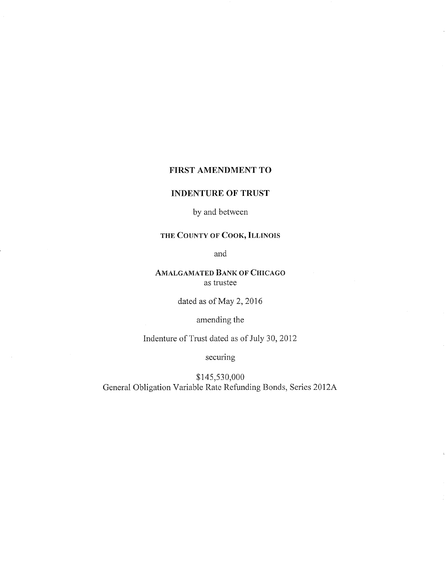### FIRST AMENDMENT TO

## INDENTURE OF TRUST

by and between

# THE COUNTY OF COOK, ILLINOIS

and

## AMALGAMATED BANK OF CHICAGO as trustee

dated as of May 2, 2016

amending the

Indenture of Trust dated as of July 30, 2012

securing

\$145,530,000 General Obligation Variable Rate Refunding Bonds, Series 2012A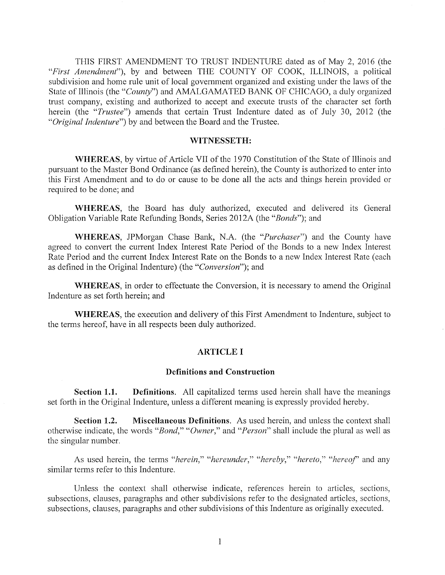THIS FIRST AMENDMENT TO TRUST INDENTURE dated as of May 2, 2016 (the "First Amendment"), by and between THE COUNTY OF COOK, ILLINOIS, a political subdivision and home rule unit of local government organized and existing under the laws of the State of Illinois (the "County") and AMALGAMATED BANK OF CHICAGO, a duly organized trust company, existing and authorized to accept and execute trusts of the character set forth herein (the "Trustee") amends that certain Trust Indenture dated as of July 30, 2012 (the "Original Indenture") by and between the Board and the Trustee.

#### WITNESSETH

WHEREAS, by virtue of Article VII of the 1970 Constitution of the State of Illinois and pursuant to the Master Bond Ordinance (as defined herein), the County is authorized to enter into this First Amendment and to do or cause to be done all the acts and things herein provided or required to be done; and

WHEREAS, the Board has duly authorized, executed and delivered its General Obligation Variable Rate Refunding Bonds, Series 2012A (the "Bonds"); and

WHEREAS, JPMorgan Chase Bank, N.A. (the "*Purchaser*") and the County have agreed to convert the current Index Interest Rate Period of the Bonds to a new Index Interest Rate Period and the current Index Interest Rate on the Bonds to a new Index Interest Rate (each as defined in the Original Indenture) (the "Conversion"); and

WHEREAS, in order to effectuate the Conversion, it is necessary to amend the Original Indenture as set forth herein; and

WHEREAS, the execution and delivery of this First Amendment to Indenture, subject to the terms hereof, have in all respects been duly authorized.

## **ARTICLE I**

#### Definitions and Construction

Section 1.1. Definitions. All capitalized terms used herein shall have the meanings set forth in the Original Indenture, unless a different meaning is expressly provided hereby.

Section 1.2. Miscellaneous Definitions. As used herein, and unless the context shall otherwise indicate, the words "Bond," "Owner," and "Person" shall include the plural as well as the singular number

As used herein, the terms "herein," "hereunder," "hereby," "hereto," "hereof" and any similar terms refer to this Indenture.

Unless the context shall otherwise indicate, references herein to articles, sections, subsections, clauses, paragraphs and other subdivisions refer to the designated articles, sections, subsections, clauses, paragraphs and other subdivisions of this Indenture as originally executed.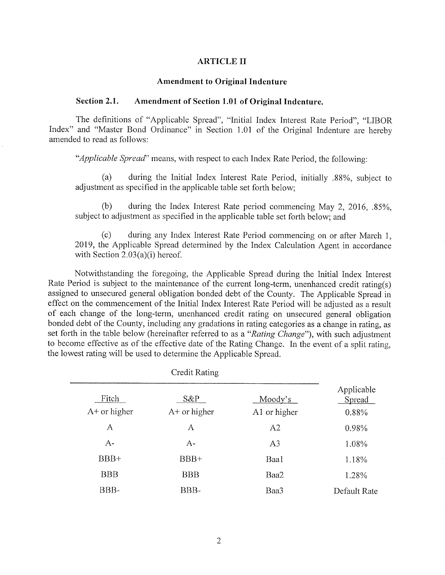#### ARTICLE II

#### Amendment to Original Indenture

### Section 2.1. Amendment of Section 1.01 of Original Indenture.

The definitions of "Applicable Spread", "Initial Index Interest Rate Period", "LIBOR Index" and "Master Bond Ordinance" in Section 1.01 of the Original Indenture are hereby amended to read as follows

"Applicable Spread" means, with respect to each Index Rate Period, the following:

 $(a)$ during the Initial Index Interest Rate Period, initially .88%, subject to adjustment as specified in the applicable table set forth below

during the Index Interest Rate period commencing May 2, 2016,  $.85\%$ ,  $(b)$ subject to adjustment as specified in the applicable table set forth below; and

during any Index Interest Rate Period commencing on or after March 1,  $(c)$ 2019, the Applicable Spread determined by the Index Calculation Agent in accordance with Section  $2.03(a)(i)$  hereof.

Notwithstanding the foregoing, the Applicable Spread during the Initial Index Interest Rate Period is subject to the maintenance of the current long-term, unenhanced credit rating(s) assigned to unsecured general obligation bonded debt of the County. The Applicable Spread in effect on the commencement of the Initial Index Interest Rate Period will be adjusted as a result of each change of the long-term, unenhanced credit rating on unsecured general obligation bonded debt of the County, including any gradations in rating categories as a change in rating, as set forth in the table below (hereinafter referred to as a "Rating Change"), with such adjustment to become effective as of the effective date of the Rating Change. In the event of a split rating, the lowest rating will be used to determine the Applicable Spread

Credit Rating

|                         | Credit Rating            |                         |                               |
|-------------------------|--------------------------|-------------------------|-------------------------------|
| Fitch<br>$A+$ or higher | $S\&P$<br>$A+$ or higher | Moody's<br>A1 or higher | Applicable<br>Spread<br>0.88% |
| A                       | А                        | A2                      | 0.98%                         |
| $A-$                    | $A-$                     | A <sub>3</sub>          | 1.08%                         |
| $BBB+$                  | BBB+                     | Baa1                    | 1.18%                         |
| <b>BBB</b>              | <b>BBB</b>               | Baa2                    | 1.28%                         |
| BBB-                    | BBB-                     | Baa3                    | Default Rate                  |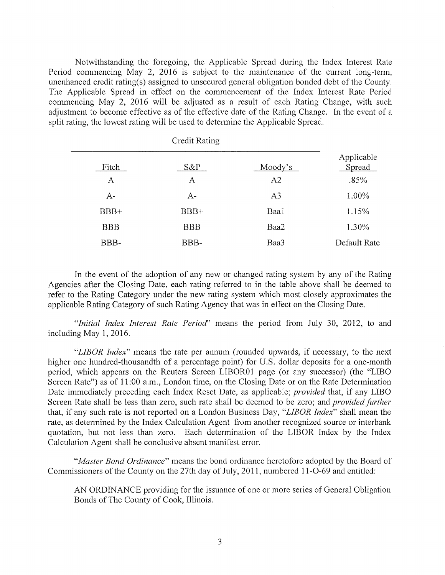Notwithstanding the foregoing the Applicable Spread during the Index Interest Rate Period commencing May 2, 2016 is subject to the maintenance of the current long-term, unenhanced credit rating(s) assigned to unsecured general obligation bonded debt of the County. The Applicable Spread in effect on the commencement of the Index Interest Rate Period commencing May 2, 2016 will be adjusted as a result of each Rating Change, with such adjustment to become effective as of the effective date of the Rating Change. In the event of a split rating, the lowest rating will be used to determine the Applicable Spread.

|                  | <b>Credit Rating</b> |                |                      |
|------------------|----------------------|----------------|----------------------|
| Fitch            | $S\&P$               | Moody's        | Applicable<br>Spread |
| Α                | A                    | A2             | .85%                 |
| $A-$             | $A-$                 | A <sub>3</sub> | 1.00%                |
| BB <sub>B+</sub> | BB <sub>H</sub>      | Baa1           | 1.15%                |
| <b>BBB</b>       | <b>BBB</b>           | Baa2           | 1.30%                |
| BBB-             | BBB-                 | Baa3           | Default Rate         |

In the event of the adoption of any new or changed rating system by any of the Rating Agencies after the Closing Date, each rating referred to in the table above shall be deemed to refer to the Rating Category under the new rating system which most closely approximates the applicable Rating Category of such Rating Agency that was in effect on the Closing Date

"Initial Index Interest Rate Period" means the period from July 30, 2012, to and including May  $1, 2016$ .

"LIBOR Index" means the rate per annum (rounded upwards, if necessary, to the next higher one hundred-thousandth of a percentage point) for U.S. dollar deposits for a one-month period, which appears on the Reuters Screen LIBOR01 page (or any successor) (the "LIBO Screen Rate") as of 11:00 a.m., London time, on the Closing Date or on the Rate Determination Date immediately preceding each Index Reset Date, as applicable; *provided* that, if any LIBO Screen Rate shall be less than zero, such rate shall be deemed to be zero; and *provided further* that, if any such rate is not reported on a London Business Day, "LIBOR Index" shall mean the rate, as determined by the Index Calculation Agent from another recognized source or interbank quotation, but not less than zero. Each determination of the LIBOR Index by the Index Calculation Agent shall be conclusive absent manifest error

"Master Bond Ordinance" means the bond ordinance heretofore adopted by the Board of Commissioners of the County on the 27th day of July, 2011, numbered 11-O-69 and entitled:

AN ORDINANCE providing for the issuance of one or more series of General Obligation Bonds of The County of Cook, Illinois.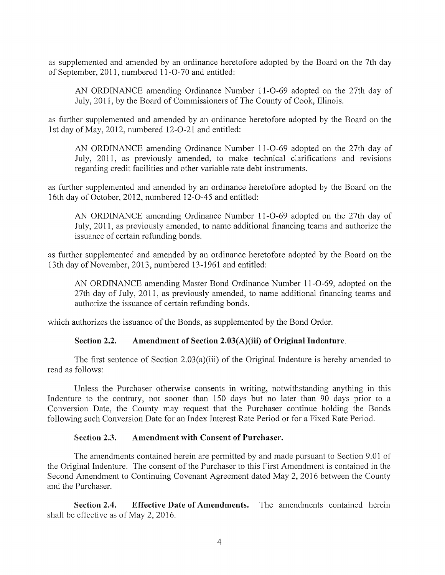as supplemented and amended by an ordinance heretofore adopted by the Board on the 7th day of September, 2011, numbered 11-O-70 and entitled:

AN ORDINANCE amending Ordinance Number 11-0-69 adopted on the 27th day of July, 2011, by the Board of Commissioners of The County of Cook, Illinois.

as further supplemented and amended by an ordinance heretofore adopted by the Board on the 1st day of May, 2012, numbered 12-O-21 and entitled:

AN ORDINANCE amending Ordinance Number 11-0-69 adopted on the 27th day of July, 2011, as previously amended, to make technical clarifications and revisions regarding credit facilities and other variable rate debt instruments

as further supplemented and amended by an ordinance heretofore adopted by the Board on the 16th day of October, 2012, numbered 12-O-45 and entitled:

AN ORDINANCE amending Ordinance Number 11-0-69 adopted on the 27th day of July, 2011, as previously amended, to name additional financing teams and authorize the issuance of certain refunding bonds

as further supplemented and amended by an ordinance heretofore adopted by the Board on the 13th day of November, 2013, numbered 13-1961 and entitled:

AN ORDINANCE amending Master Bond Ordinance Number 11-O-69, adopted on the 27th day of July, 2011, as previously amended, to name additional financing teams and authorize the issuance of certain refunding bonds

which authorizes the issuance of the Bonds, as supplemented by the Bond Order.

### Section 2.2. Amendment of Section  $2.03(A)(iii)$  of Original Indenture.

The first sentence of Section  $2.03(a)(iii)$  of the Original Indenture is hereby amended to read as follows

Unless the Purchaser otherwise consents in writing notwithstanding anything in this Indenture to the contrary, not sooner than 150 days but no later than 90 days prior to a Conversion Date, the County may request that the Purchaser continue holding the Bonds following such Conversion Date for an Index Interest Rate Period or for a Fixed Rate Period.

### Section 2.3. Amendment with Consent of Purchaser.

The amendments contained herein are permitted by and made pursuant to Section 9.01 of the Original Indenture. The consent of the Purchaser to this First Amendment is contained in the Second Amendment to Continuing Covenant Agreement dated May 2, 2016 between the County and the Purchaser

Section 2.4. Effective Date of Amendments. The amendments contained herein shall be effective as of May  $2, 2016$ .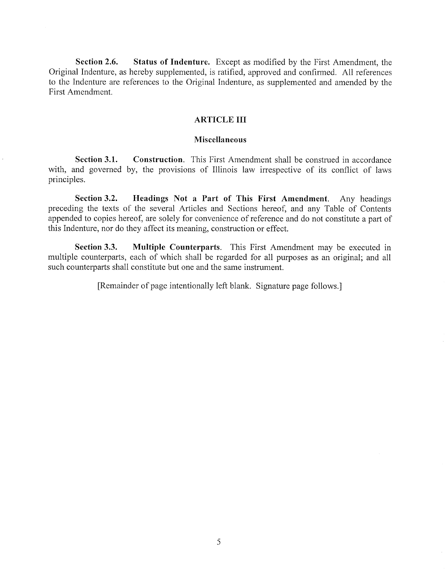Section 2.6. Status of Indenture. Except as modified by the First Amendment, the Original Indenture, as hereby supplemented, is ratified, approved and confirmed. All references to the Indenture are references to the Original Indenture, as supplemented and amended by the First Amendment

## ARTICLE III

### Miscellaneous

**Section 3.1.** Construction. This First Amendment shall be construed in accordance with, and governed by, the provisions of Illinois law irrespective of its conflict of laws principles.

Section 3.2. Headings Not a Part of This First Amendment. Any headings preceding the texts of the several Articles and Sections hereof, and any Table of Contents appended to copies hereof, are solely for convenience of reference and do not constitute a part of this Indenture, nor do they affect its meaning, construction or effect.

Section 3.3. Multiple Counterparts. This First Amendment may be executed in multiple counterparts, each of which shall be regarded for all purposes as an original; and all such counterparts shall constitute but one and the same instrument

[Remainder of page intentionally left blank. Signature page follows.]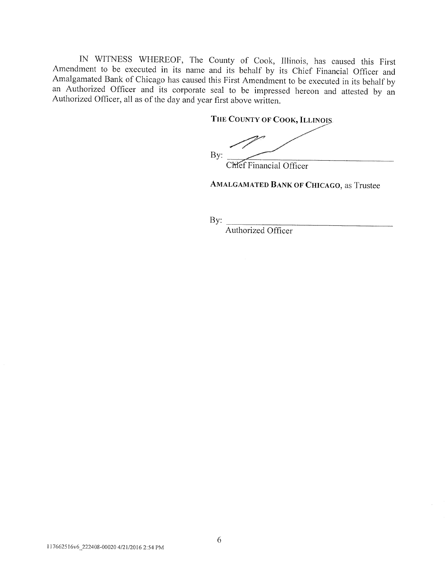IN WITNESS WHEREOF, The County of Cook, Illinois, has caused this First Amendment to be executed in its name and its behalf by its Chief Financial Officer and Amalgamated Bank of Chicago has caused this First Amendment to be executed in its behalf by an Authorized Officer and its corporate seal to be impressed hereon and attested by an Authorized Officer, all as of the day and year first above written.

THE COUNTY OF COOK, ILLINOIS

 $By:$ 

Chef Financial Officer

AMALGAMATED BANK OF CHICAGO, as Trustee

By:

Authorized Officer